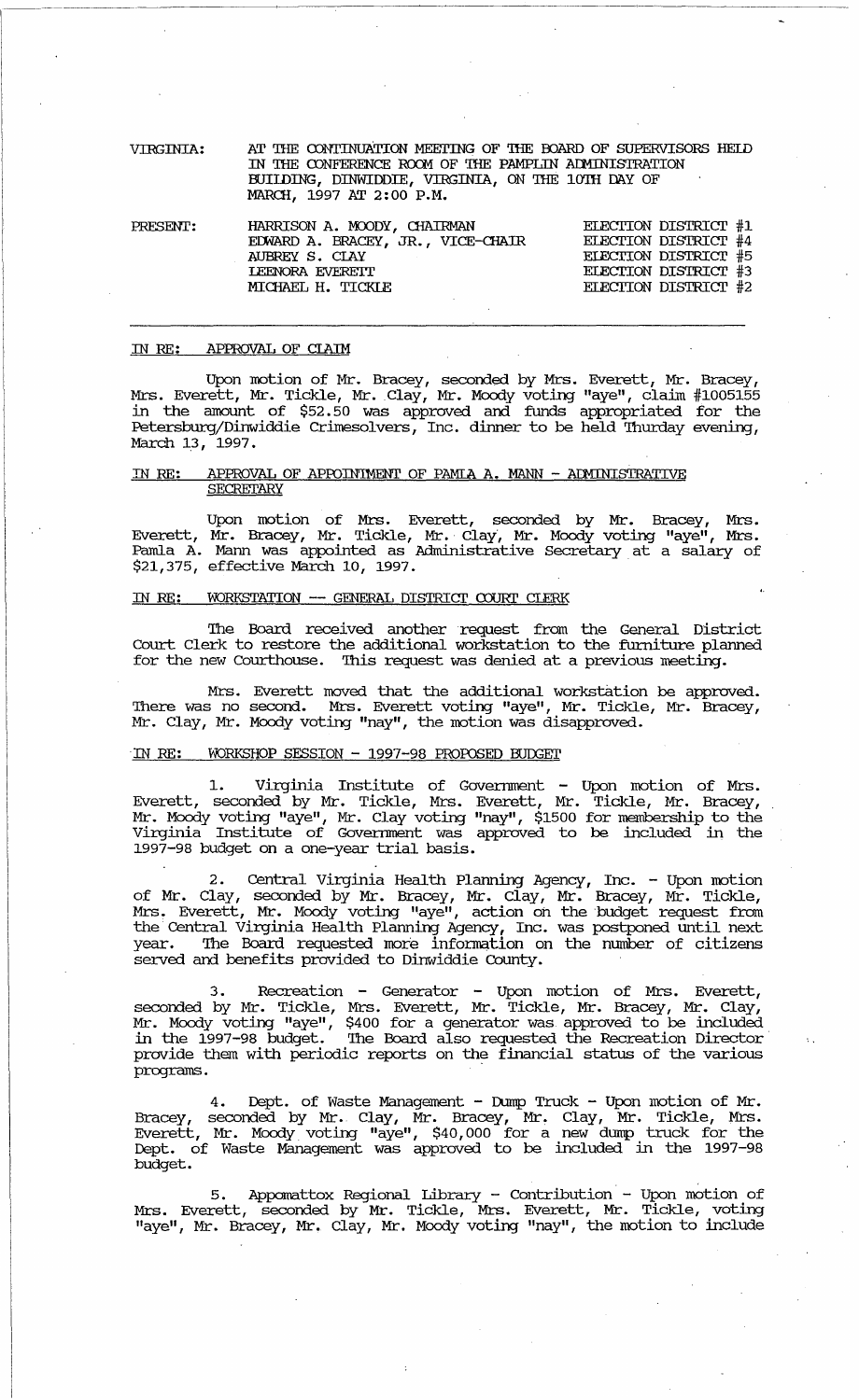| VIRGINIA: | AT THE CONTINUATION MEETING OF THE BOARD OF SUPERVISORS HELD<br>IN THE CONFERENCE ROOM OF THE PAMPLIN ADMINISTRATION<br>BUILDING, DINWIDDIE, VIRGINIA, ON THE 10TH DAY OF<br>MARCH, 1997 AT 2:00 P.M. |                                              |
|-----------|-------------------------------------------------------------------------------------------------------------------------------------------------------------------------------------------------------|----------------------------------------------|
| PRESENT:  | HARRISON A. MOODY, CHAIRMAN<br>T                                                                                                                                                                      | ELECTION DISTRICT #1<br>ELEMENT DIOTOTOTO LA |

| TU DUNI. | IMULOVI A. ROODI, GIALIGAN        | ELECTION DIBINICI TI        |
|----------|-----------------------------------|-----------------------------|
|          | EDWARD A. BRACEY, JR., VICE-CHAIR | ELECTION DISTRICT #4        |
|          | AUBREY S. CLAY                    | <b>ELECTION DISTRICT #5</b> |
|          | LEENORA EVERETT                   | ELECTION DISTRICT #3        |
|          | MICHAEL H. TICKIE                 | ELECTION DISTRICT #2        |
|          |                                   |                             |

#### APPROVAL OF CLAIM IN RE:

Upon motion of Mr. Bracey, seconded by Mrs. Everett, Mr. Bracey,<br>Mrs. Everett, Mr. Tickle, Mr. Clay, Mr. Moody voting "aye", claim #1005155<br>in the amount of \$52.50 was approved and funds appropriated for the Petersburg/Dinwiddie Crimesolvers, Inc. dinner to be held Thurday evening, March 13, 1997.

#### APPROVAL OF APPOINTMENT OF PAMIA A. MANN - ADMINISTRATIVE IN RE: SECRETARY

Upon motion of Mrs. Everett, seconded by Mr. Bracey, Mrs.<br>Everett, Mr. Bracey, Mr. Tickle, Mr. Clay, Mr. Moody voting "aye", Mrs.<br>Pamla A. Mann was appointed as Administrative Secretary at a salary of \$21,375, effective March 10, 1997.

#### WORKSTATION -- GENERAL DISTRICT COURT CLERK IN RE:

The Board received another request from the General District Court Clerk to restore the additional workstation to the furniture planned for the new Courthouse. This request was denied at a previous meeting.

Mrs. Everett moved that the additional workstation be approved.<br>There was no second. Mrs. Everett voting "aye", Mr. Tickle, Mr. Bracey, Mr. Clay, Mr. Moody voting "nay", the motion was disapproved.

# IN RE: WORKSHOP SESSION - 1997-98 PROPOSED BUDGET

1. Virginia Institute of Government - Upon motion of Mrs.<br>Everett, seconded by Mr. Tickle, Mrs. Everett, Mr. Tickle, Mr. Bracey, Mr. Moody voting "aye", Mr. Clay voting "nay", \$1500 for membership to the Virginia Institute 1997-98 budget on a one-year trial basis.

2. Central Virginia Health Planning Agency, Inc. - Upon motion<br>of Mr. Clay, seconded by Mr. Bracey, Mr. Clay, Mr. Bracey, Mr. Tickle,<br>Mrs. Everett, Mr. Moody voting "aye", action on the budget request from<br>the Central Virg served and benefits provided to Dinwiddie County.

3. Recreation - Generator - Upon motion of Mrs. Everett, seconded by Mr. Tickle, Mrs. Everett, Mr. Tickle, Mr. Bracey, Mr. Clay, Mr. Moody voting "aye", \$400 for a generator was approved to be included in the 1997-98 budge provide them with periodic reports on the financial status of the various programs.

Dept. of Waste Management - Dump Truck - Upon motion of Mr.  $4.$ Bracey, seconded by Mr. Clay, Mr. Bracey, Mr. Clay, Mr. Tickle, Mrs.<br>Everett, Mr. Moody voting "aye", \$40,000 for a new dump truck for the Dept. of Waste Management was approved to be included in the 1997-98 budget.

5. Appomattox Regional Library - Contribution - Upon motion of<br>Mrs. Everett, seconded by Mr. Tickle, Mrs. Everett, Mr. Tickle, voting<br>"aye", Mr. Bracey, Mr. Clay, Mr. Moody voting "nay", the motion to include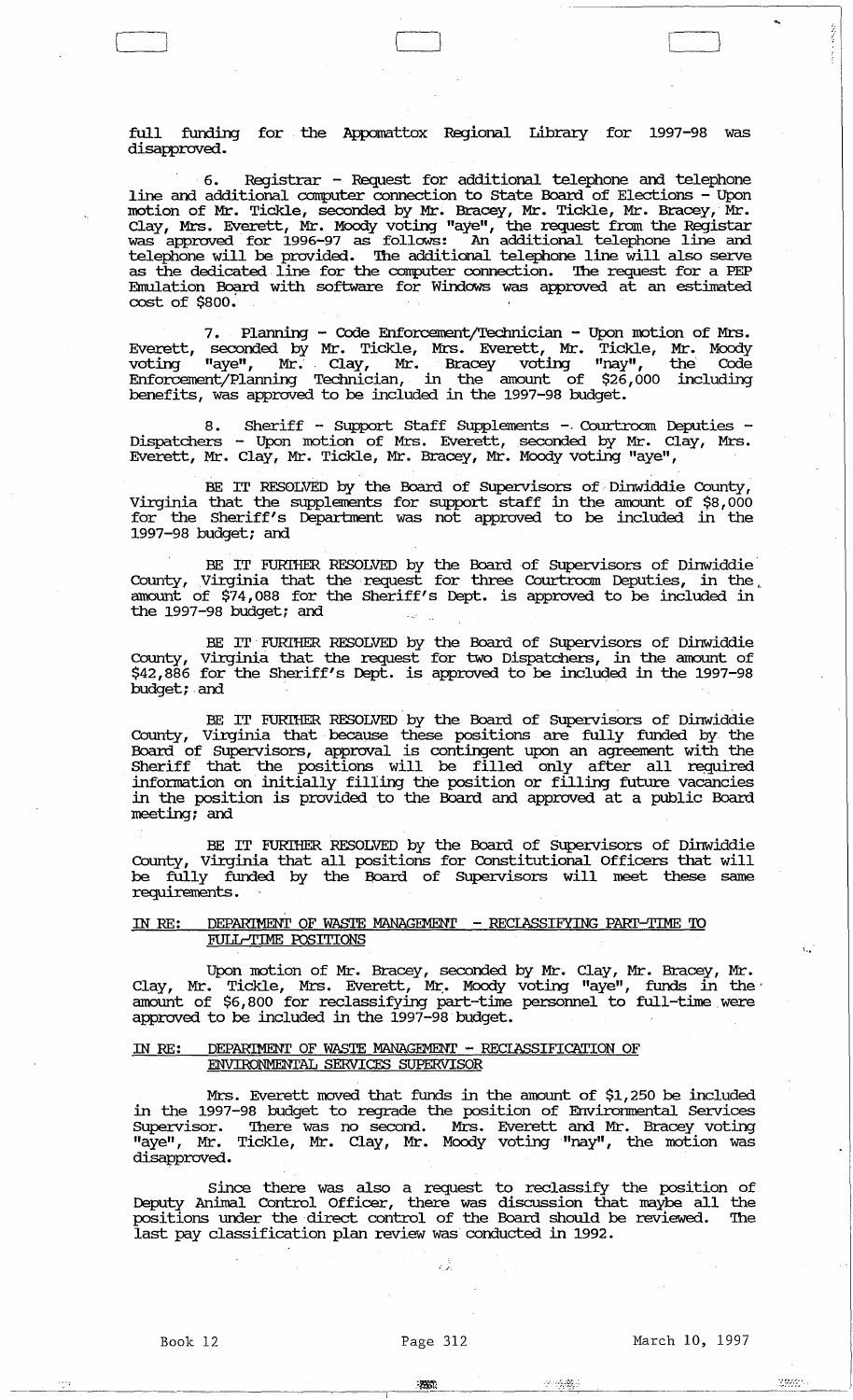full funding for the Appomattox Regional Library for 1997-98 was disapproved.

 $\overline{\phantom{a}}$ 

6. Registrar - Request for additional telephone and. telephone line and additional computer connection to state Board of Elections - Upon motion of Mr. Tickle, seconded by Mr. Bracey, Mr. Tickle, Mr. Bracey, Mr. Clay, Mrs. Everett, Mr. Moody voting "aye", the request from the Registar was approved for 1996-97 as follows: An additional telephone line and telephone will be provided. '!he additional telephone line will also serve as the dedicated line for the computer connection. The request for a PEP Emulation Board with software for Windows was approved at an estimated cost of \$800.

Planning - Code Enforcement/Technician - Upon motion of Mrs. Everett, seconded by Mr. Tickle, Mrs. Everett, Mr. Tickle, Mr. Moody voting "aye", Mr. Clay, Mr. Bracey voting "nay", the Code Enforcement/Planning Teclmician, in the amount of \$26,000 including benefits, was approved to be included in the 1997-98 budget.

8. Sheriff - Support Staff Supplements - Courtroom Deputies - Dispatchers - Upon motion of Mrs. Everett, seconded by Mr. Clay, Mrs. Everett, Mr. Clay, Mr. Tickle, Mr. Bracey, Mr. Moody voting "aye",

BE IT RESOLVED by the Board of Supervisors of Dinwiddie County, Virginia that the supplements for support staff in the amount of \$8,000 for the Sheriff's Deparbnent was not approved to be included in the 1997-98 budget; and.

BE IT FURIHER RESOLVED by the Board of SUpervisors of Dinwiddie' County, Virginia that the request for three Courtroom Deputies, in the amount of \$74,088 for the Sheriff's Dept. is approved to be included in the 1997-98 budget; and

BE IT' FURIHER RESOLVED by the Board of SUpervisors of Dinwiddie County, Virginia that the request for two Dispatchers, in the amount of \$42,886 for the Sheriff's Dept. is approved to be included in the 1997-98 budget; and

BE IT FURIHER RESOLVED by the Board of Supervisors of Dinwiddie County, Virginia that because these positions are fully funded by the Board of SUpervisors, approval is contingent upon an agreement with the Sheriff that the positions will be filled only after all required information on initially filling the position or filling future vacancies in the position is provided to the Board and. approved at a public Board meeting; and.

BE IT FURIHER RESOLVED by the Board of SUpervisors of Dinwiddie County, Virginia that all positions for Constitutional Officers that will County, Virginia that all positions for Constitutional Officers that will<br>be fully funded by the Board of Supervisors will meet these same requirements .

# IN RE: DEPARIMENT OF WASTE MANAGEMENT - RECIASSIFYING PARI'-TIME 'ID FULL-TIME POSITIONS

Upon motion of Mr. Bracey, seconded by Mr. Clay, Mr. Bracey, Mr. Clay, Mr. Tickle, Mrs. Everett, Mr:. Moody voting "aye", funds in the' amount of \$6,800 for reclassifying part-time personnel to full-time were approved to be included in the 1997-98 budget.

## IN RE: DEPARIMENT OF WASTE MANAGEMENT - RECIASSIFICATION OF ENVIRONMENTAL SERVICES SUPERVISOR

Mrs. Everett moved that funds in the amount of \$1,250 be included in the 1997-98 budget to regrade the position of Erwirornnental services SUpervisor. '!here was no second. Mrs. Everett and Mr. Bracey voting "aye", Mr. Tickle, Mr. Clay, Mr. Moody voting "nay", the motion was disapproved.

since there was also a request to reclassify the position of Deputy Animal Control Officer, there was discussion that maybe all the positions under the direct control of the Board should be reviewed. '!he last pay classification plan review was conducted in 1992 .

 $\mathcal{L}$ 

 $\frac{1}{2}$ 

L t

·:~7~··:::·· .

....

ちゅうしょう アイティー